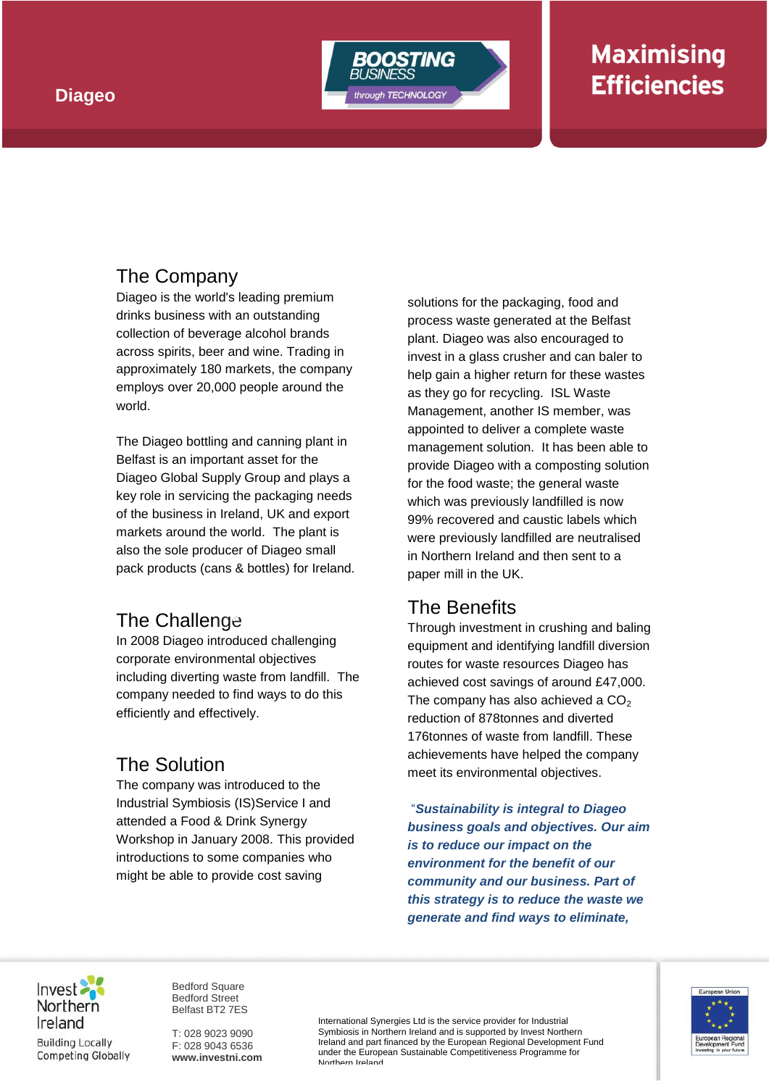

# **Maximising Efficiencies**

## The Company

Diageo is the world's leading premium drinks business with an outstanding collection of beverage alcohol brands across spirits, beer and wine. Trading in approximately 180 markets, the company employs over 20,000 people around the world.

The Diageo bottling and canning plant in Belfast is an important asset for the Diageo Global Supply Group and plays a key role in servicing the packaging needs of the business in Ireland, UK and export markets around the world. The plant is also the sole producer of Diageo small pack products (cans & bottles) for Ireland.

#### The Challenge **PVC trailer curtains**

In 2008 Diageo introduced challenging corporate environmental objectives including diverting waste from landfill. The company needed to find ways to do this efficiently and effectively.

## The Solution

The company was introduced to the Industrial Symbiosis (IS)Service I and attended a Food & Drink Synergy Workshop in January 2008. This provided introductions to some companies who might be able to provide cost saving

solutions for the packaging, food and process waste generated at the Belfast plant. Diageo was also encouraged to invest in a glass crusher and can baler to help gain a higher return for these wastes as they go for recycling. ISL Waste Management, another IS member, was appointed to deliver a complete waste management solution. It has been able to provide Diageo with a composting solution for the food waste; the general waste which was previously landfilled is now 99% recovered and caustic labels which were previously landfilled are neutralised in Northern Ireland and then sent to a paper mill in the UK.

### The Benefits

Through investment in crushing and baling equipment and identifying landfill diversion routes for waste resources Diageo has achieved cost savings of around £47,000. The company has also achieved a  $CO<sub>2</sub>$ reduction of 878tonnes and diverted 176tonnes of waste from landfill. These achievements have helped the company meet its environmental objectives.

"*Sustainability is integral to Diageo business goals and objectives. Our aim is to reduce our impact on the environment for the benefit of our community and our business. Part of this strategy is to reduce the waste we generate and find ways to eliminate,* 



Bedford Square Bedford Street Belfast BT2 7ES

T: 028 9023 9090 F: 028 9043 6536 **www.investni.com** International Synergies Ltd is the service provider for Industrial Symbiosis in Northern Ireland and is supported by Invest Northern Ireland and part financed by the European Regional Development Fund under the European Sustainable Competitiveness Programme for Northern Ireland